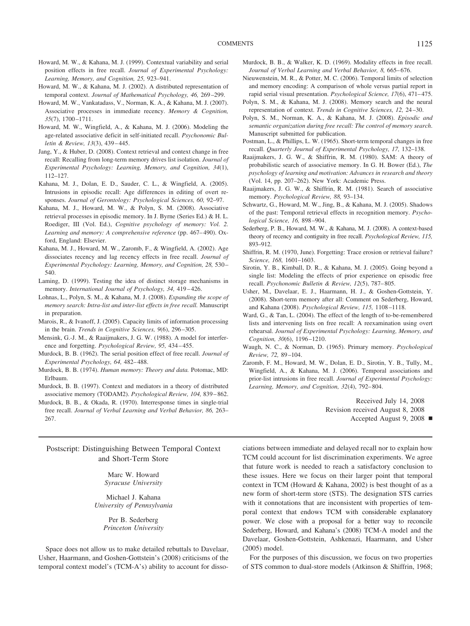- Howard, M. W., & Kahana, M. J. (1999). Contextual variability and serial position effects in free recall. *Journal of Experimental Psychology: Learning, Memory, and Cognition, 25,* 923–941.
- Howard, M. W., & Kahana, M. J. (2002). A distributed representation of temporal context. *Journal of Mathematical Psychology, 46,* 269 –299.
- Howard, M. W., Vankatadass, V., Norman, K. A., & Kahana, M. J. (2007). Associative processes in immediate recency. *Memory & Cognition, 35*(7), 1700 –1711.
- Howard, M. W., Wingfield, A., & Kahana, M. J. (2006). Modeling the age-related associative deficit in self-initiated recall. *Psychonomic Bulletin & Review, 13*(3), 439 – 445.
- Jang, Y., & Huber, D. (2008). Context retrieval and context change in free recall: Recalling from long-term memory drives list isolation. *Journal of Experimental Psychology: Learning, Memory, and Cognition, 34*(1), 112–127.
- Kahana, M. J., Dolan, E. D., Sauder, C. L., & Wingfield, A. (2005). Intrusions in episodic recall: Age differences in editing of overt responses. *Journal of Gerontology: Psychological Sciences, 60,* 92–97.
- Kahana, M. J., Howard, M. W., & Polyn, S. M. (2008). Associative retrieval processes in episodic memory. In J. Byrne (Series Ed.) & H. L. Roediger, III (Vol. Ed.), *Cognitive psychology of memory: Vol. 2.* Learning and memory: A comprehensive reference (pp. 467-490). Oxford, England: Elsevier.
- Kahana, M. J., Howard, M. W., Zaromb, F., & Wingfield, A. (2002). Age dissociates recency and lag recency effects in free recall. *Journal of Experimental Psychology: Learning, Memory, and Cognition, 28,* 530 – 540.
- Laming, D. (1999). Testing the idea of distinct storage mechanisms in memory. *International Journal of Psychology, 34,* 419 – 426.
- Lohnas, L., Polyn, S. M., & Kahana, M. J. (2008). *Expanding the scope of memory search: Intra-list and inter-list effects in free recall.* Manuscript in preparation.
- Marois, R., & Ivanoff, J. (2005). Capacity limits of information processing in the brain. *Trends in Cognitive Sciences, 9*(6), 296 –305.
- Mensink, G.-J. M., & Raaijmakers, J. G. W. (1988). A model for interference and forgetting. *Psychological Review, 95,* 434 – 455.
- Murdock, B. B. (1962). The serial position effect of free recall. *Journal of Experimental Psychology, 64,* 482– 488.
- Murdock, B. B. (1974). *Human memory: Theory and data.* Potomac, MD: Erlbaum.
- Murdock, B. B. (1997). Context and mediators in a theory of distributed associative memory (TODAM2). *Psychological Review, 104,* 839 – 862.
- Murdock, B. B., & Okada, R. (1970). Interresponse times in single-trial free recall. *Journal of Verbal Learning and Verbal Behavior, 86,* 263– 267.

## Postscript: Distinguishing Between Temporal Context and Short-Term Store

Marc W. Howard *Syracuse University*

Michael J. Kahana *University of Pennsylvania*

> Per B. Sederberg *Princeton University*

Space does not allow us to make detailed rebuttals to Davelaar, Usher, Haarmann, and Goshen-Gottstein's (2008) criticisms of the temporal context model's (TCM-A's) ability to account for disso-

- Murdock, B. B., & Walker, K. D. (1969). Modality effects in free recall. Journal of Verbal Learning and Verbal Behavior, 8, 665-676.
- Nieuwenstein, M. R., & Potter, M. C. (2006). Temporal limits of selection and memory encoding: A comparison of whole versus partial report in rapid serial visual presentation. *Psychological Science, 17*(6), 471– 475.
- Polyn, S. M., & Kahana, M. J. (2008). Memory search and the neural representation of context. *Trends in Cognitive Sciences, 12,* 24 –30.
- Polyn, S. M., Norman, K. A., & Kahana, M. J. (2008). *Episodic and semantic organization during free recall: The control of memory search*. Manuscript submitted for publication.
- Postman, L., & Phillips, L. W. (1965). Short-term temporal changes in free recall. *Quarterly Journal of Experimental Psychology, 17,* 132–138.
- Raaijmakers, J. G. W., & Shiffrin, R. M. (1980). SAM: A theory of probabilistic search of associative memory. In G. H. Bower (Ed.), *The psychology of learning and motivation: Advances in research and theory* (Vol. 14, pp. 207–262). New York: Academic Press.
- Raaijmakers, J. G. W., & Shiffrin, R. M. (1981). Search of associative memory. *Psychological Review, 88,* 93–134.
- Schwartz, G., Howard, M. W., Jing, B., & Kahana, M. J. (2005). Shadows of the past: Temporal retrieval effects in recognition memory. *Psychological Science, 16,* 898 –904.
- Sederberg, P. B., Howard, M. W., & Kahana, M. J. (2008). A context-based theory of recency and contiguity in free recall. *Psychological Review, 115,* 893–912.
- Shiffrin, R. M. (1970, June). Forgetting: Trace erosion or retrieval failure? *Science, 168,* 1601–1603.
- Sirotin, Y. B., Kimball, D. R., & Kahana, M. J. (2005). Going beyond a single list: Modeling the effects of prior experience on episodic free recall. *Psychonomic Bulletin & Review, 12*(5), 787– 805.
- Usher, M., Davelaar, E. J., Haarmann, H. J., & Goshen-Gottstein, Y. (2008). Short-term memory after all: Comment on Sederberg, Howard, and Kahana (2008). *Psychological Review, 115,* 1108 –1118.
- Ward, G., & Tan, L. (2004). The effect of the length of to-be-remembered lists and intervening lists on free recall: A reexamination using overt rehearsal. *Journal of Experimental Psychology: Learning, Memory, and Cognition, 30*(6), 1196 –1210.
- Waugh, N. C., & Norman, D. (1965). Primary memory. *Psychological Review, 72,* 89 –104.
- Zaromb, F. M., Howard, M. W., Dolan, E. D., Sirotin, Y. B., Tully, M., Wingfield, A., & Kahana, M. J. (2006). Temporal associations and prior-list intrusions in free recall. *Journal of Experimental Psychology: Learning, Memory, and Cognition, 32*(4), 792– 804.

Received July 14, 2008 Revision received August 8, 2008 Accepted August 9, 2008

ciations between immediate and delayed recall nor to explain how TCM could account for list discrimination experiments. We agree that future work is needed to reach a satisfactory conclusion to these issues. Here we focus on their larger point that temporal context in TCM (Howard & Kahana, 2002) is best thought of as a new form of short-term store (STS). The designation STS carries with it connotations that are inconsistent with properties of temporal context that endows TCM with considerable explanatory power. We close with a proposal for a better way to reconcile Sederberg, Howard, and Kahana's (2008) TCM-A model and the Davelaar, Goshen-Gottstein, Ashkenazi, Haarmann, and Usher (2005) model.

For the purposes of this discussion, we focus on two properties of STS common to dual-store models (Atkinson & Shiffrin, 1968;